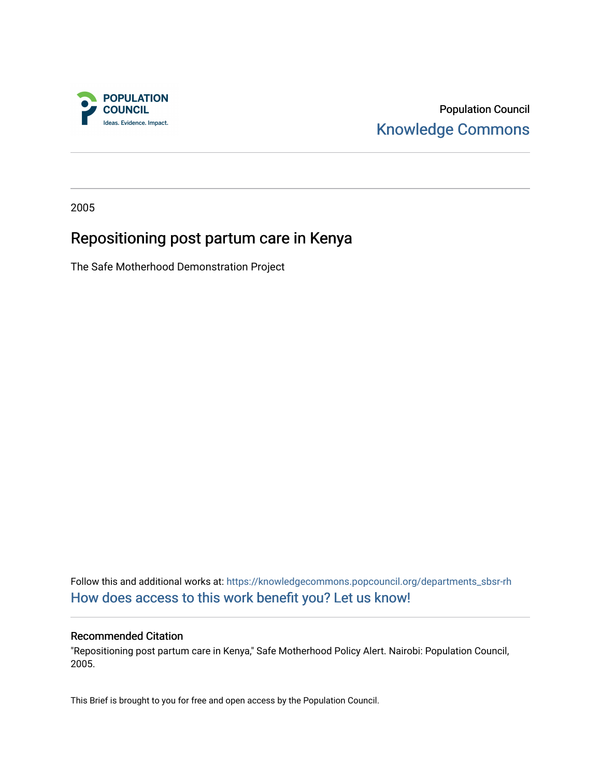

Population Council [Knowledge Commons](https://knowledgecommons.popcouncil.org/) 

2005

### Repositioning post partum care in Kenya

The Safe Motherhood Demonstration Project

Follow this and additional works at: [https://knowledgecommons.popcouncil.org/departments\\_sbsr-rh](https://knowledgecommons.popcouncil.org/departments_sbsr-rh?utm_source=knowledgecommons.popcouncil.org%2Fdepartments_sbsr-rh%2F1587&utm_medium=PDF&utm_campaign=PDFCoverPages)  [How does access to this work benefit you? Let us know!](https://pcouncil.wufoo.com/forms/open-access-to-population-council-research/)

#### Recommended Citation

"Repositioning post partum care in Kenya," Safe Motherhood Policy Alert. Nairobi: Population Council, 2005.

This Brief is brought to you for free and open access by the Population Council.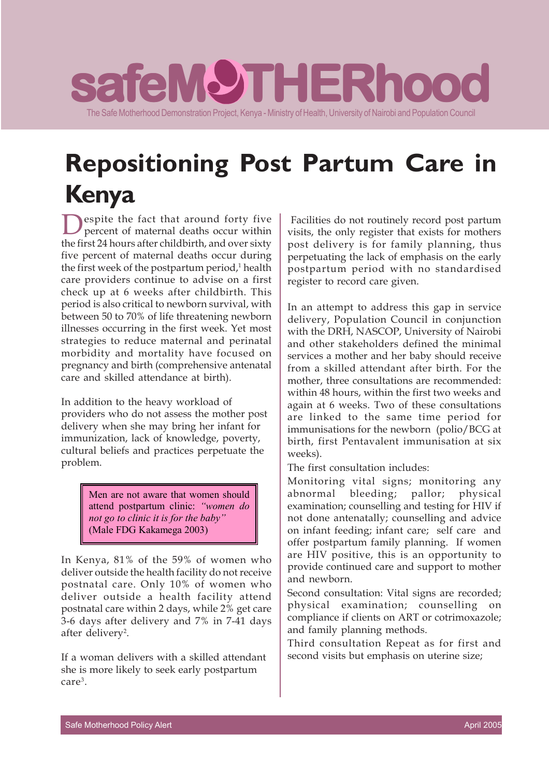## **saf** The Safe Motherhood Demonstration Project, Kenya - Ministry of Health, University of Nairobi and Population Council **eMOTHERhood THERhood THERhood**

# **Repositioning Post Partum Care in Kenya**

**Despite the fact that around forty five**<br>percent of maternal deaths occur within the first 24 hours after childbirth, and over sixty five percent of maternal deaths occur during the first week of the postpartum period,<sup>1</sup> health care providers continue to advise on a first check up at 6 weeks after childbirth. This period is also critical to newborn survival, with between 50 to 70% of life threatening newborn illnesses occurring in the first week. Yet most strategies to reduce maternal and perinatal morbidity and mortality have focused on pregnancy and birth (comprehensive antenatal care and skilled attendance at birth).

In addition to the heavy workload of providers who do not assess the mother post delivery when she may bring her infant for immunization, lack of knowledge, poverty, cultural beliefs and practices perpetuate the problem.

> Men are not aware that women should attend postpartum clinic: *"women do not go to clinic it is for the baby"* (Male FDG Kakamega 2003)

In Kenya, 81% of the 59% of women who deliver outside the health facility do not receive postnatal care. Only 10% of women who deliver outside a health facility attend postnatal care within 2 days, while 2% get care 3-6 days after delivery and 7% in 7-41 days after delivery<sup>2</sup>.

If a woman delivers with a skilled attendant she is more likely to seek early postpartum care<sup>3</sup>.

 Facilities do not routinely record post partum visits, the only register that exists for mothers post delivery is for family planning, thus perpetuating the lack of emphasis on the early postpartum period with no standardised register to record care given.

In an attempt to address this gap in service delivery, Population Council in conjunction with the DRH, NASCOP, University of Nairobi and other stakeholders defined the minimal services a mother and her baby should receive from a skilled attendant after birth. For the mother, three consultations are recommended: within 48 hours, within the first two weeks and again at 6 weeks. Two of these consultations are linked to the same time period for immunisations for the newborn (polio/BCG at birth, first Pentavalent immunisation at six weeks).

The first consultation includes:

Monitoring vital signs; monitoring any abnormal bleeding; pallor; physical examination; counselling and testing for HIV if not done antenatally; counselling and advice on infant feeding; infant care; self care and offer postpartum family planning. If women are HIV positive, this is an opportunity to provide continued care and support to mother and newborn.

Second consultation: Vital signs are recorded; physical examination; counselling on compliance if clients on ART or cotrimoxazole; and family planning methods.

Third consultation Repeat as for first and second visits but emphasis on uterine size;